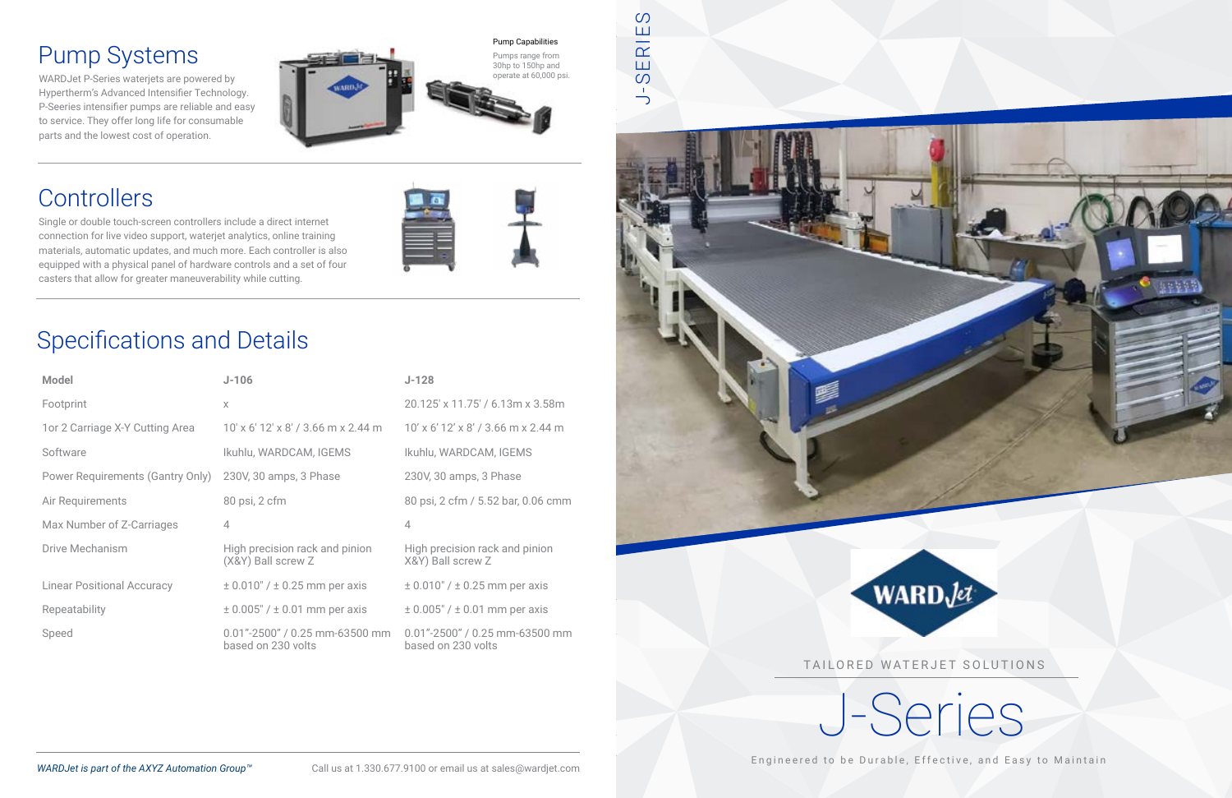Single or double touch-screen controllers include a direct internet connection for live video support, waterjet analytics, online training materials, automatic updates, and much more. Each controller is also equipped with a physical panel of hardware controls and a set of four casters that allow for greater maneuverability while cutting.



### Pump Systems

WARDJet P-Series waterjets are powered by Hypertherm's Advanced Intensifier Technology. P-Seeries intensifier pumps are reliable and easy to service. They offer long life for consumable parts and the lowest cost of operation.



## **Controllers**

TAILORED WATERJET SOLUTIONS



Engineered to be Durable, Effective, and Easy to Maintain

## Specifications and Details

| <b>Model</b>                      | $J-106$                                                  | $J-128$                                              |
|-----------------------------------|----------------------------------------------------------|------------------------------------------------------|
| Footprint                         | X                                                        | 20.125' x 11.75' / 6.13m x 3.58m                     |
| 1 or 2 Carriage X-Y Cutting Area  | 10' x 6' 12' x 8' / 3.66 m x 2.44 m                      | 10' x 6' 12' x 8' / 3.66 m x 2.44 m                  |
| Software                          | Ikuhlu, WARDCAM, IGEMS                                   | Ikuhlu, WARDCAM, IGEMS                               |
| Power Requirements (Gantry Only)  | 230V, 30 amps, 3 Phase                                   | 230V, 30 amps, 3 Phase                               |
| Air Requirements                  | 80 psi, 2 cfm                                            | 80 psi, 2 cfm / 5.52 bar, 0.06 cmm                   |
| Max Number of Z-Carriages         | $\overline{4}$                                           | 4                                                    |
| <b>Drive Mechanism</b>            | High precision rack and pinion<br>(X&Y) Ball screw Z     | High precision rack and pinion<br>X&Y) Ball screw Z  |
| <b>Linear Positional Accuracy</b> | $\pm$ 0.010" / $\pm$ 0.25 mm per axis                    | $\pm$ 0.010" / $\pm$ 0.25 mm per axis                |
| Repeatability                     | $\pm$ 0.005" / $\pm$ 0.01 mm per axis                    | $\pm$ 0.005" / $\pm$ 0.01 mm per axis                |
| Speed                             | $0.01" - 2500" / 0.25$ mm-63500 mm<br>based on 230 volts | 0.01"-2500" / 0.25 mm-63500 mm<br>based on 230 volts |

 $\circ$ J-SERIES Ш ERIE  $\infty$  $\frac{1}{\sqrt{2}}$